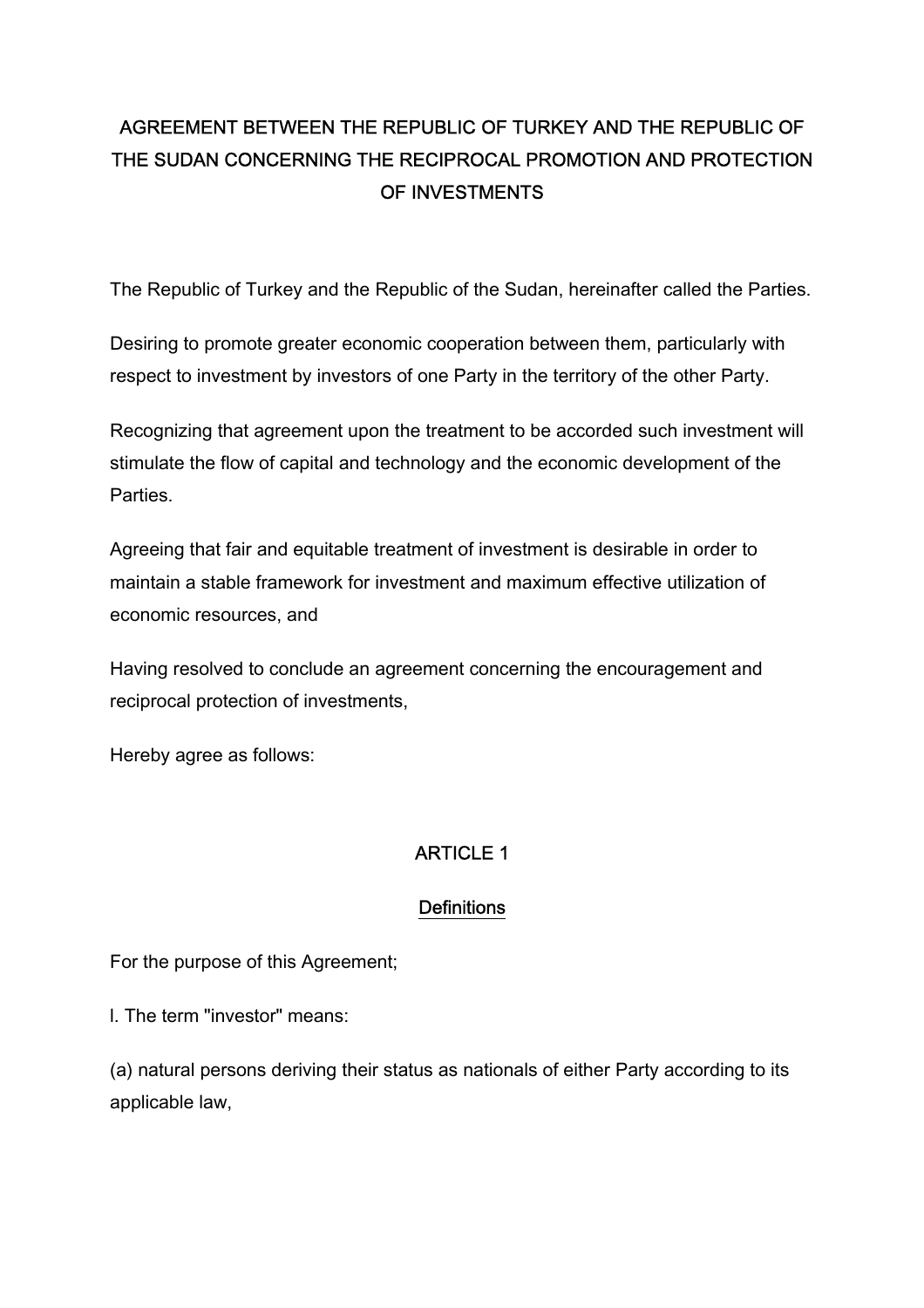## AGREEMENT BETWEEN THE REPUBLIC OF TURKEY AND THE REPUBLIC OF THE SUDAN CONCERNING THE RECIPROCAL PROMOTION AND PROTECTION OF INVESTMENTS

The Republic of Turkey and the Republic of the Sudan, hereinafter called the Parties.

Desiring to promote greater economic cooperation between them, particularly with respect to investment by investors of one Party in the territory of the other Party.

Recognizing that agreement upon the treatment to be accorded such investment will stimulate the flow of capital and technology and the economic development of the Parties.

Agreeing that fair and equitable treatment of investment is desirable in order to maintain a stable framework for investment and maximum effective utilization of economic resources, and

Having resolved to conclude an agreement concerning the encouragement and reciprocal protection of investments,

Hereby agree as follows:

## ARTICLE 1

#### **Definitions**

For the purpose of this Agreement;

l. The term "investor" means:

(a) natural persons deriving their status as nationals of either Party according to its applicable law,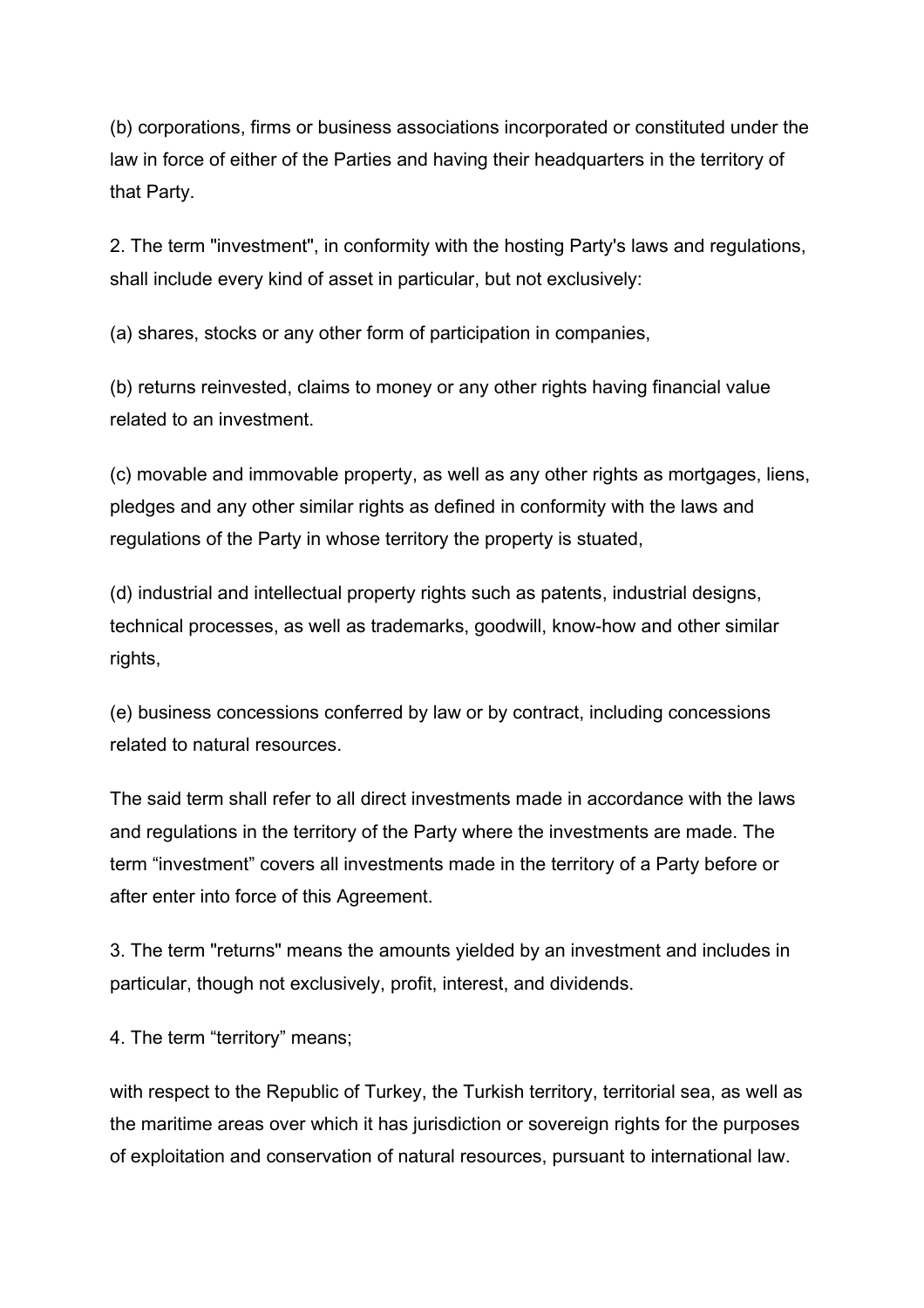(b) corporations, firms or business associations incorporated or constituted under the law in force of either of the Parties and having their headquarters in the territory of that Party.

2. The term "investment", in conformity with the hosting Party's laws and regulations, shall include every kind of asset in particular, but not exclusively:

(a) shares, stocks or any other form of participation in companies,

(b) returns reinvested, claims to money or any other rights having financial value related to an investment.

(c) movable and immovable property, as well as any other rights as mortgages, liens, pledges and any other similar rights as defined in conformity with the laws and regulations of the Party in whose territory the property is stuated,

(d) industrial and intellectual property rights such as patents, industrial designs, technical processes, as well as trademarks, goodwill, know-how and other similar rights,

(e) business concessions conferred by law or by contract, including concessions related to natural resources.

The said term shall refer to all direct investments made in accordance with the laws and regulations in the territory of the Party where the investments are made. The term "investment" covers all investments made in the territory of a Party before or after enter into force of this Agreement.

3. The term "returns" means the amounts yielded by an investment and includes in particular, though not exclusively, profit, interest, and dividends.

4. The term "territory" means;

with respect to the Republic of Turkey, the Turkish territory, territorial sea, as well as the maritime areas over which it has jurisdiction or sovereign rights for the purposes of exploitation and conservation of natural resources, pursuant to international law.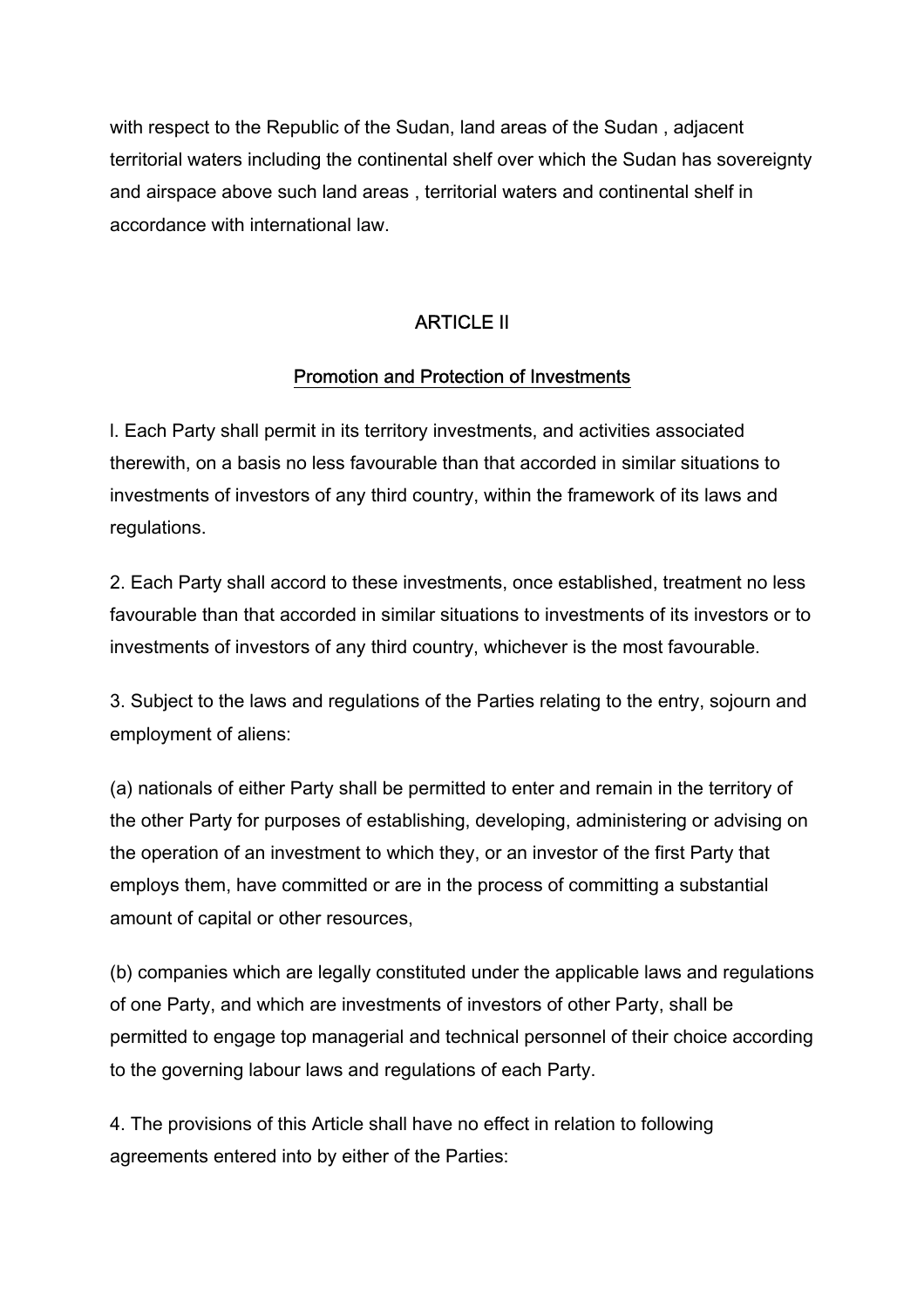with respect to the Republic of the Sudan, land areas of the Sudan , adjacent territorial waters including the continental shelf over which the Sudan has sovereignty and airspace above such land areas , territorial waters and continental shelf in accordance with international law.

### ARTICLE II

#### Promotion and Protection of Investments

l. Each Party shall permit in its territory investments, and activities associated therewith, on a basis no less favourable than that accorded in similar situations to investments of investors of any third country, within the framework of its laws and regulations.

2. Each Party shall accord to these investments, once established, treatment no less favourable than that accorded in similar situations to investments of its investors or to investments of investors of any third country, whichever is the most favourable.

3. Subject to the laws and regulations of the Parties relating to the entry, sojourn and employment of aliens:

(a) nationals of either Party shall be permitted to enter and remain in the territory of the other Party for purposes of establishing, developing, administering or advising on the operation of an investment to which they, or an investor of the first Party that employs them, have committed or are in the process of committing a substantial amount of capital or other resources,

(b) companies which are legally constituted under the applicable laws and regulations of one Party, and which are investments of investors of other Party, shall be permitted to engage top managerial and technical personnel of their choice according to the governing labour laws and regulations of each Party.

4. The provisions of this Article shall have no effect in relation to following agreements entered into by either of the Parties: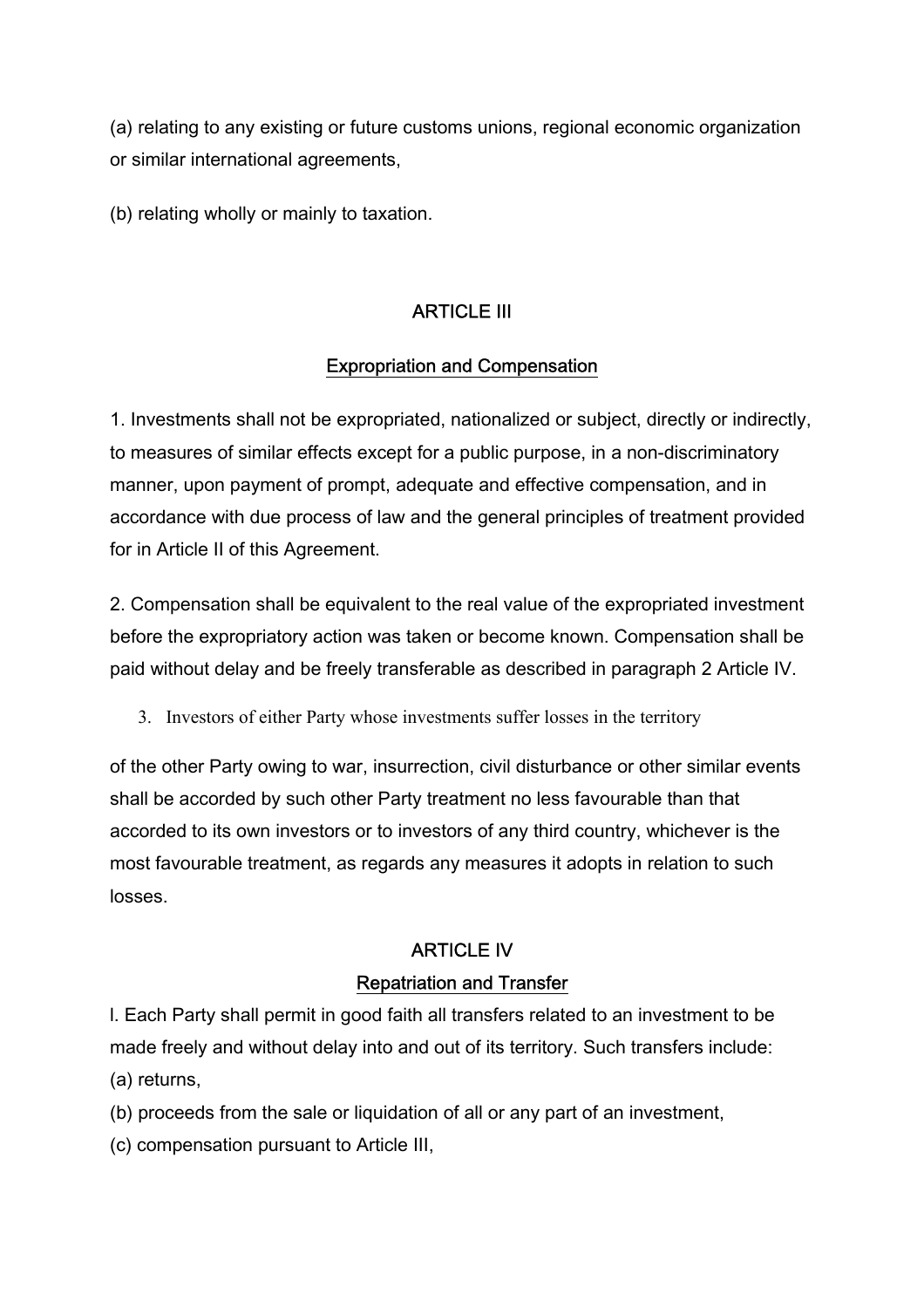(a) relating to any existing or future customs unions, regional economic organization or similar international agreements,

(b) relating wholly or mainly to taxation.

## ARTICLE III

#### Expropriation and Compensation

1. Investments shall not be expropriated, nationalized or subject, directly or indirectly, to measures of similar effects except for a public purpose, in a non-discriminatory manner, upon payment of prompt, adequate and effective compensation, and in accordance with due process of law and the general principles of treatment provided for in Article II of this Agreement.

2. Compensation shall be equivalent to the real value of the expropriated investment before the expropriatory action was taken or become known. Compensation shall be paid without delay and be freely transferable as described in paragraph 2 Article IV.

3. Investors of either Party whose investments suffer losses in the territory

of the other Party owing to war, insurrection, civil disturbance or other similar events shall be accorded by such other Party treatment no less favourable than that accorded to its own investors or to investors of any third country, whichever is the most favourable treatment, as regards any measures it adopts in relation to such losses.

## ARTICLE IV

#### Repatriation and Transfer

l. Each Party shall permit in good faith all transfers related to an investment to be made freely and without delay into and out of its territory. Such transfers include: (a) returns,

(b) proceeds from the sale or liquidation of all or any part of an investment,

(c) compensation pursuant to Article III,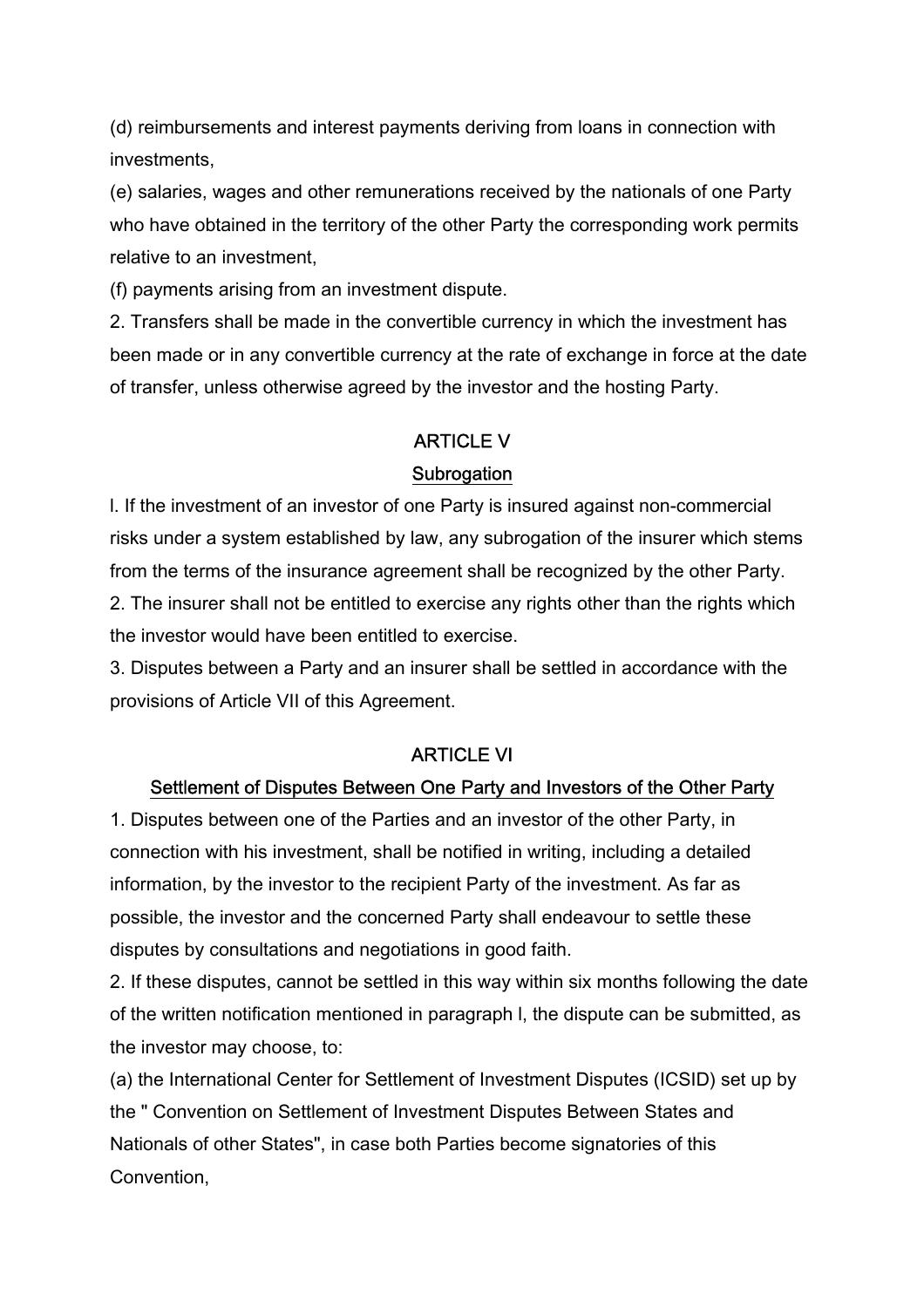(d) reimbursements and interest payments deriving from loans in connection with investments,

(e) salaries, wages and other remunerations received by the nationals of one Party who have obtained in the territory of the other Party the corresponding work permits relative to an investment,

(f) payments arising from an investment dispute.

2. Transfers shall be made in the convertible currency in which the investment has been made or in any convertible currency at the rate of exchange in force at the date of transfer, unless otherwise agreed by the investor and the hosting Party.

## ARTICLE V **Subrogation**

# l. If the investment of an investor of one Party is insured against non-commercial risks under a system established by law, any subrogation of the insurer which stems from the terms of the insurance agreement shall be recognized by the other Party. 2. The insurer shall not be entitled to exercise any rights other than the rights which

the investor would have been entitled to exercise.

3. Disputes between a Party and an insurer shall be settled in accordance with the provisions of Article VII of this Agreement.

#### ARTICLE VI

#### Settlement of Disputes Between One Party and Investors of the Other Party

1. Disputes between one of the Parties and an investor of the other Party, in connection with his investment, shall be notified in writing, including a detailed information, by the investor to the recipient Party of the investment. As far as possible, the investor and the concerned Party shall endeavour to settle these disputes by consultations and negotiations in good faith.

2. If these disputes, cannot be settled in this way within six months following the date of the written notification mentioned in paragraph l, the dispute can be submitted, as the investor may choose, to:

(a) the International Center for Settlement of Investment Disputes (ICSID) set up by the " Convention on Settlement of Investment Disputes Between States and Nationals of other States", in case both Parties become signatories of this Convention,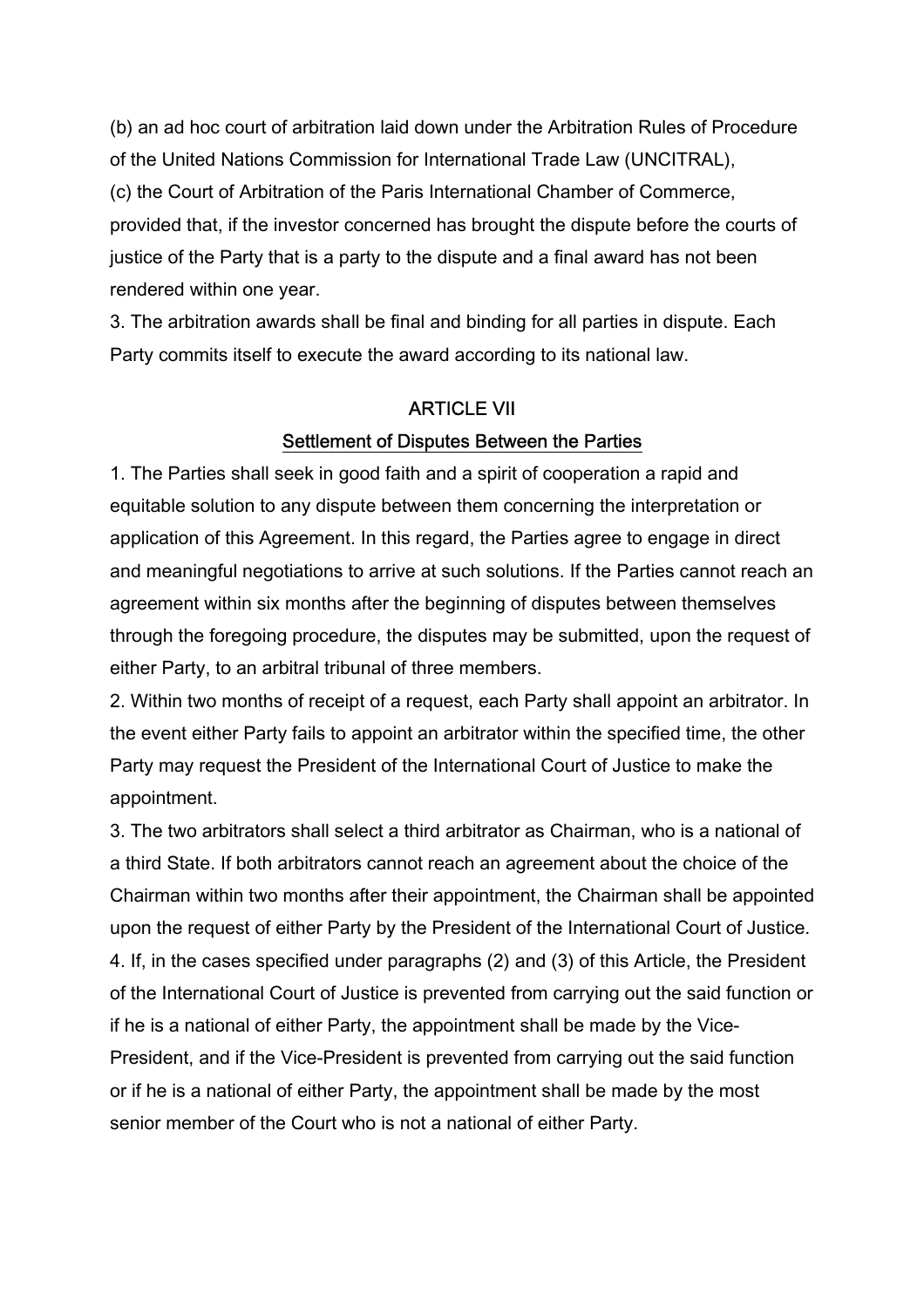(b) an ad hoc court of arbitration laid down under the Arbitration Rules of Procedure of the United Nations Commission for International Trade Law (UNCITRAL), (c) the Court of Arbitration of the Paris International Chamber of Commerce, provided that, if the investor concerned has brought the dispute before the courts of justice of the Party that is a party to the dispute and a final award has not been rendered within one year.

3. The arbitration awards shall be final and binding for all parties in dispute. Each Party commits itself to execute the award according to its national law.

## ARTICLE VII Settlement of Disputes Between the Parties

1. The Parties shall seek in good faith and a spirit of cooperation a rapid and equitable solution to any dispute between them concerning the interpretation or application of this Agreement. In this regard, the Parties agree to engage in direct and meaningful negotiations to arrive at such solutions. If the Parties cannot reach an agreement within six months after the beginning of disputes between themselves through the foregoing procedure, the disputes may be submitted, upon the request of either Party, to an arbitral tribunal of three members.

2. Within two months of receipt of a request, each Party shall appoint an arbitrator. In the event either Party fails to appoint an arbitrator within the specified time, the other Party may request the President of the International Court of Justice to make the appointment.

3. The two arbitrators shall select a third arbitrator as Chairman, who is a national of a third State. If both arbitrators cannot reach an agreement about the choice of the Chairman within two months after their appointment, the Chairman shall be appointed upon the request of either Party by the President of the International Court of Justice. 4. If, in the cases specified under paragraphs (2) and (3) of this Article, the President of the International Court of Justice is prevented from carrying out the said function or if he is a national of either Party, the appointment shall be made by the Vice-President, and if the Vice-President is prevented from carrying out the said function or if he is a national of either Party, the appointment shall be made by the most senior member of the Court who is not a national of either Party.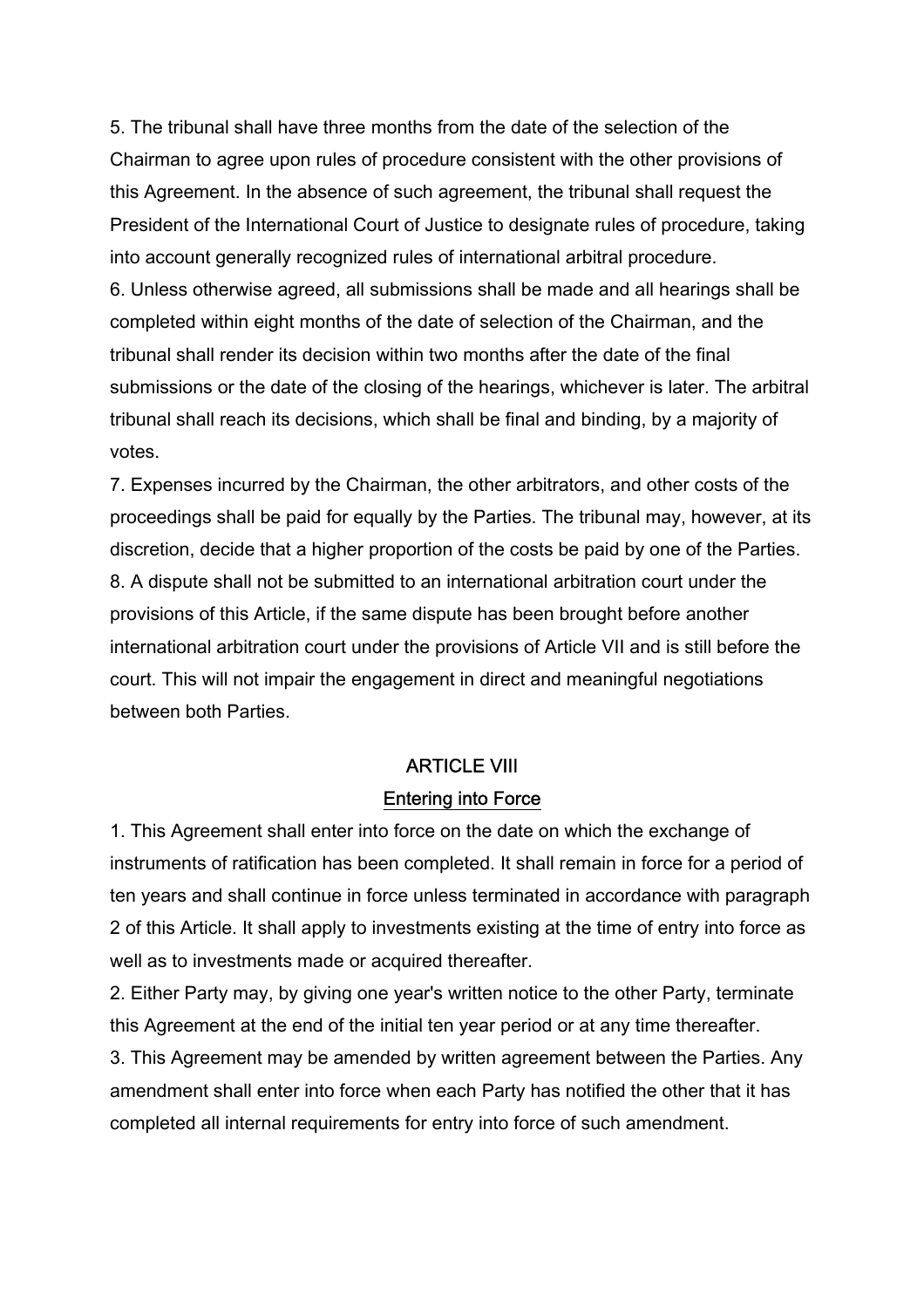5. The tribunal shall have three months from the date of the selection of the Chairman to agree upon rules of procedure consistent with the other provisions of this Agreement. In the absence of such agreement, the tribunal shall request the President of the International Court of Justice to designate rules of procedure, taking into account generally recognized rules of international arbitral procedure. 6. Unless otherwise agreed, all submissions shall be made and all hearings shall be completed within eight months of the date of selection of the Chairman, and the tribunal shall render its decision within two months after the date of the final submissions or the date of the closing of the hearings, whichever is later. The arbitral tribunal shall reach its decisions, which shall be final and binding, by a majority of votes.

7. Expenses incurred by the Chairman, the other arbitrators, and other costs of the proceedings shall be paid for equally by the Parties. The tribunal may, however, at its discretion, decide that a higher proportion of the costs be paid by one of the Parties. 8. A dispute shall not be submitted to an international arbitration court under the provisions of this Article, if the same dispute has been brought before another international arbitration court under the provisions of Article VII and is still before the court. This will not impair the engagement in direct and meaningful negotiations between both Parties.

## ARTICLE VIII Entering into Force

1. This Agreement shall enter into force on the date on which the exchange of instruments of ratification has been completed. It shall remain in force for a period of ten years and shall continue in force unless terminated in accordance with paragraph 2 of this Article. It shall apply to investments existing at the time of entry into force as well as to investments made or acquired thereafter.

2. Either Party may, by giving one year's written notice to the other Party, terminate this Agreement at the end of the initial ten year period or at any time thereafter.

3. This Agreement may be amended by written agreement between the Parties. Any amendment shall enter into force when each Party has notified the other that it has completed all internal requirements for entry into force of such amendment.